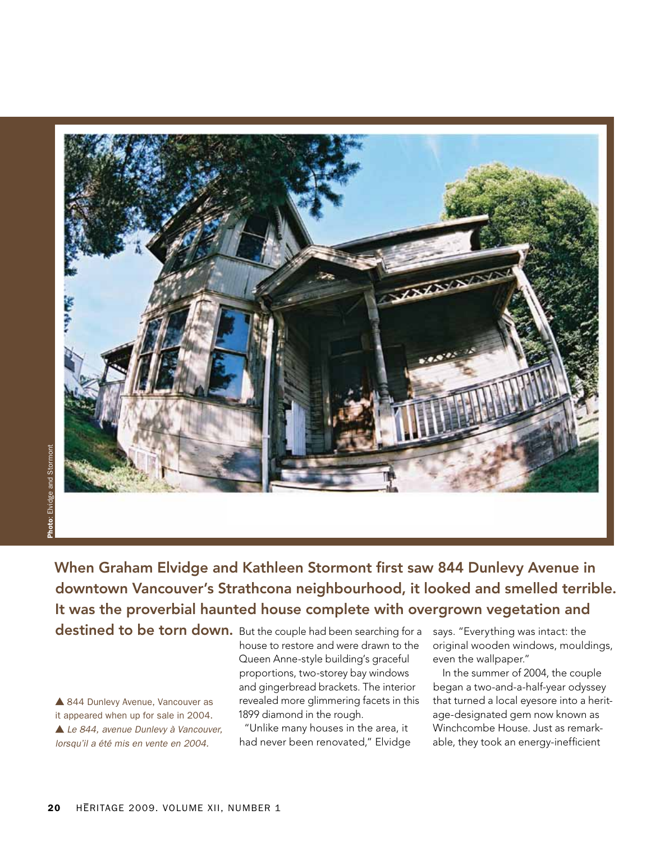

When Graham Elvidge and Kathleen Stormont first saw 844 Dunlevy Avenue in downtown Vancouver's Strathcona neighbourhood, it looked and smelled terrible. It was the proverbial haunted house complete with overgrown vegetation and

destined to be torn down. But the couple had been searching for a says. "Everything was intact: the

▲ 844 Dunlevy Avenue, Vancouver as it appeared when up for sale in 2004.  *Le 844, avenue Dunlevy à Vancouver, lorsqu'il a été mis en vente en 2004.*

house to restore and were drawn to the Queen Anne-style building's graceful proportions, two-storey bay windows and gingerbread brackets. The interior revealed more glimmering facets in this 1899 diamond in the rough.

"Unlike many houses in the area, it had never been renovated," Elvidge original wooden windows, mouldings, even the wallpaper."

In the summer of 2004, the couple began a two-and-a-half-year odyssey that turned a local eyesore into a heritage-designated gem now known as Winchcombe House. Just as remarkable, they took an energy-inefficient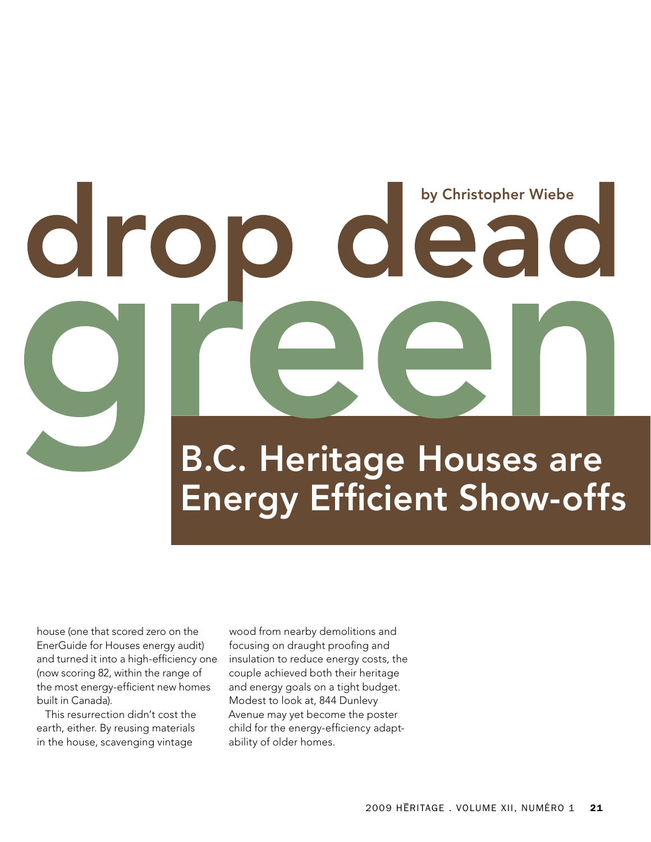# by Christopher Wiebe

B.C. Heritage Houses are Energy Efficient Show-offs

house (one that scored zero on the EnerGuide for Houses energy audit) and turned it into a high-efficiency one (now scoring 82, within the range of the most energy-efficient new homes built in Canada).

This resurrection didn't cost the earth, either. By reusing materials in the house, scavenging vintage

wood from nearby demolitions and focusing on draught proofing and insulation to reduce energy costs, the couple achieved both their heritage and energy goals on a tight budget. Modest to look at, 844 Dunlevy Avenue may yet become the poster child for the energy-efficiency adaptability of older homes.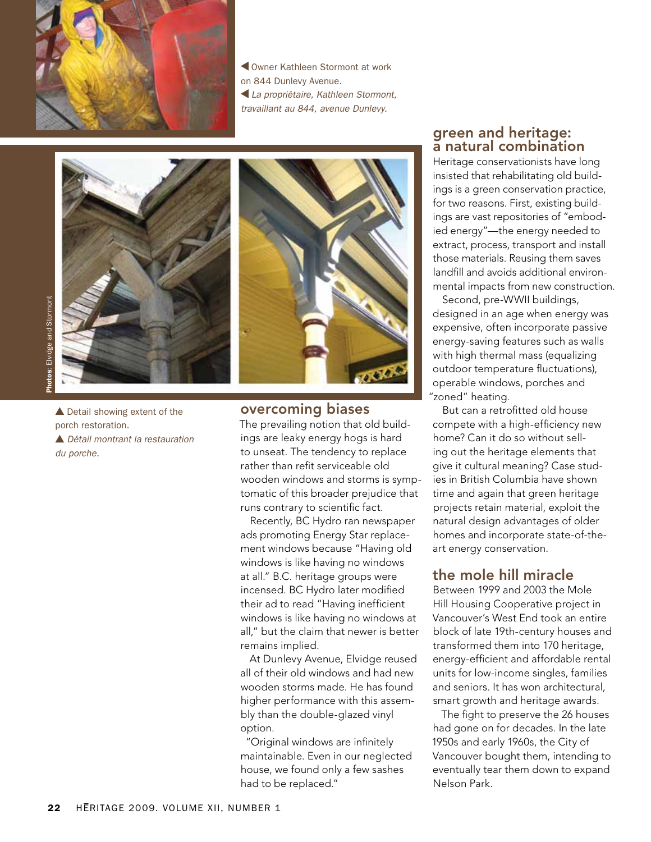

 Owner Kathleen Stormont at work on 844 Dunlevy Avenue.  *La propriétaire, Kathleen Stormont, travaillant au 844, avenue Dunlevy.*



▲ Detail showing extent of the porch restoration.  *Détail montrant la restauration du porche.*



# overcoming biases

The prevailing notion that old buildings are leaky energy hogs is hard to unseat. The tendency to replace rather than refit serviceable old wooden windows and storms is symptomatic of this broader prejudice that runs contrary to scientific fact.

Recently, BC Hydro ran newspaper ads promoting Energy Star replacement windows because "Having old windows is like having no windows at all." B.C. heritage groups were incensed. BC Hydro later modified their ad to read "Having inefficient windows is like having no windows at all," but the claim that newer is better remains implied.

At Dunlevy Avenue, Elvidge reused all of their old windows and had new wooden storms made. He has found higher performance with this assembly than the double-glazed vinyl option.

"Original windows are infinitely maintainable. Even in our neglected house, we found only a few sashes had to be replaced."

# green and heritage: a natural combination

Heritage conservationists have long insisted that rehabilitating old buildings is a green conservation practice, for two reasons. First, existing buildings are vast repositories of "embodied energy"—the energy needed to extract, process, transport and install those materials. Reusing them saves landfill and avoids additional environmental impacts from new construction.

Second, pre-WWII buildings, designed in an age when energy was expensive, often incorporate passive energy-saving features such as walls with high thermal mass (equalizing outdoor temperature fluctuations), operable windows, porches and "zoned" heating.

But can a retrofitted old house compete with a high-efficiency new home? Can it do so without selling out the heritage elements that give it cultural meaning? Case studies in British Columbia have shown time and again that green heritage projects retain material, exploit the natural design advantages of older homes and incorporate state-of-theart energy conservation.

# the mole hill miracle

Between 1999 and 2003 the Mole Hill Housing Cooperative project in Vancouver's West End took an entire block of late 19th-century houses and transformed them into 170 heritage, energy-efficient and affordable rental units for low-income singles, families and seniors. It has won architectural, smart growth and heritage awards.

The fight to preserve the 26 houses had gone on for decades. In the late 1950s and early 1960s, the City of Vancouver bought them, intending to eventually tear them down to expand Nelson Park.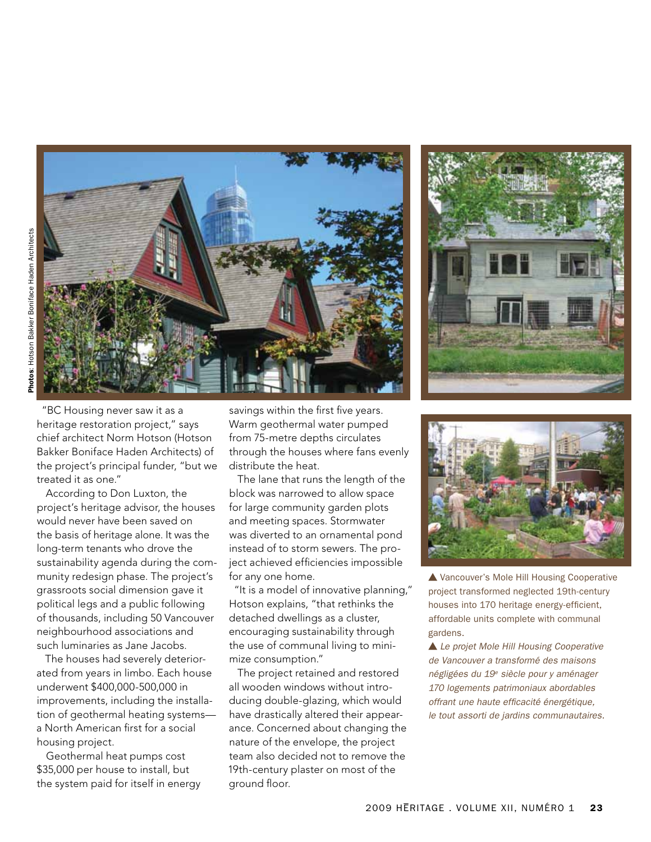

According to Don Luxton, the project's heritage advisor, the houses would never have been saved on the basis of heritage alone. It was the long-term tenants who drove the sustainability agenda during the community redesign phase. The project's grassroots social dimension gave it political legs and a public following of thousands, including 50 Vancouver neighbourhood associations and such luminaries as Jane Jacobs.

treated it as one."

The houses had severely deteriorated from years in limbo. Each house underwent \$400,000-500,000 in improvements, including the installation of geothermal heating systems a North American first for a social housing project.

Geothermal heat pumps cost \$35,000 per house to install, but the system paid for itself in energy

savings within the first five years. Warm geothermal water pumped from 75-metre depths circulates through the houses where fans evenly distribute the heat.

The lane that runs the length of the block was narrowed to allow space for large community garden plots and meeting spaces. Stormwater was diverted to an ornamental pond instead of to storm sewers. The project achieved efficiencies impossible for any one home.

"It is a model of innovative planning," Hotson explains, "that rethinks the detached dwellings as a cluster, encouraging sustainability through the use of communal living to minimize consumption."

The project retained and restored all wooden windows without introducing double-glazing, which would have drastically altered their appearance. Concerned about changing the nature of the envelope, the project team also decided not to remove the 19th-century plaster on most of the ground floor.





▲ Vancouver's Mole Hill Housing Cooperative project transformed neglected 19th-century houses into 170 heritage energy-efficient, affordable units complete with communal gardens.

 *Le projet Mole Hill Housing Cooperative de Vancouver a transformé des maisons négligées du 19e siècle pour y aménager 170 logements patrimoniaux abordables offrant une haute efficacité énergétique, le tout assorti de jardins communautaires.*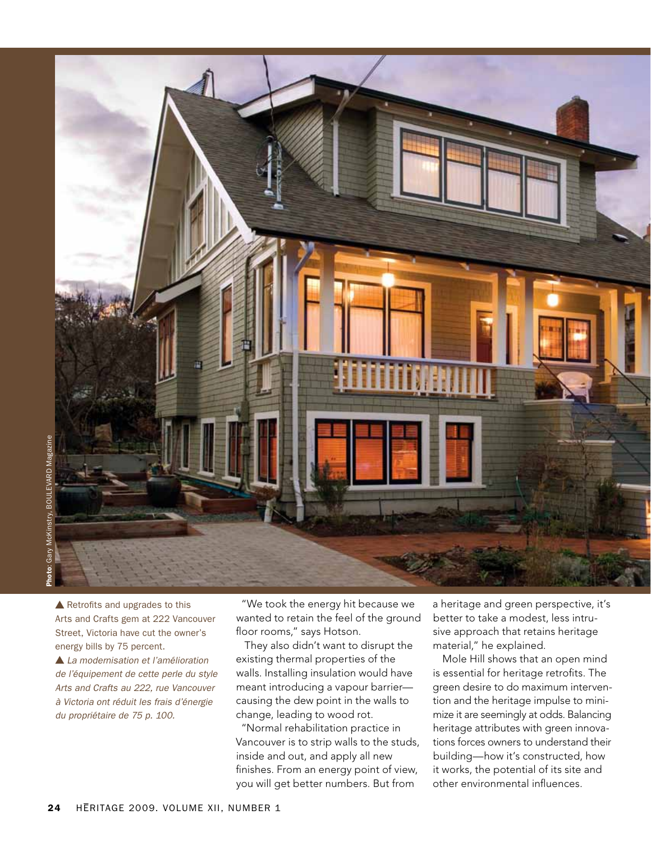

 $\triangle$  Retrofits and upgrades to this Arts and Crafts gem at 222 Vancouver Street, Victoria have cut the owner's energy bills by 75 percent.

 *La modernisation et l'amélioration de l'équipement de cette perle du style Arts and Crafts au 222, rue Vancouver à Victoria ont réduit les frais d'énergie du propriétaire de 75 p. 100.*

"We took the energy hit because we wanted to retain the feel of the ground floor rooms," says Hotson.

They also didn't want to disrupt the existing thermal properties of the walls. Installing insulation would have meant introducing a vapour barrier causing the dew point in the walls to change, leading to wood rot.

"Normal rehabilitation practice in Vancouver is to strip walls to the studs, inside and out, and apply all new finishes. From an energy point of view, you will get better numbers. But from

a heritage and green perspective, it's better to take a modest, less intrusive approach that retains heritage material," he explained.

Mole Hill shows that an open mind is essential for heritage retrofits. The green desire to do maximum intervention and the heritage impulse to minimize it are seemingly at odds. Balancing heritage attributes with green innovations forces owners to understand their building—how it's constructed, how it works, the potential of its site and other environmental influences.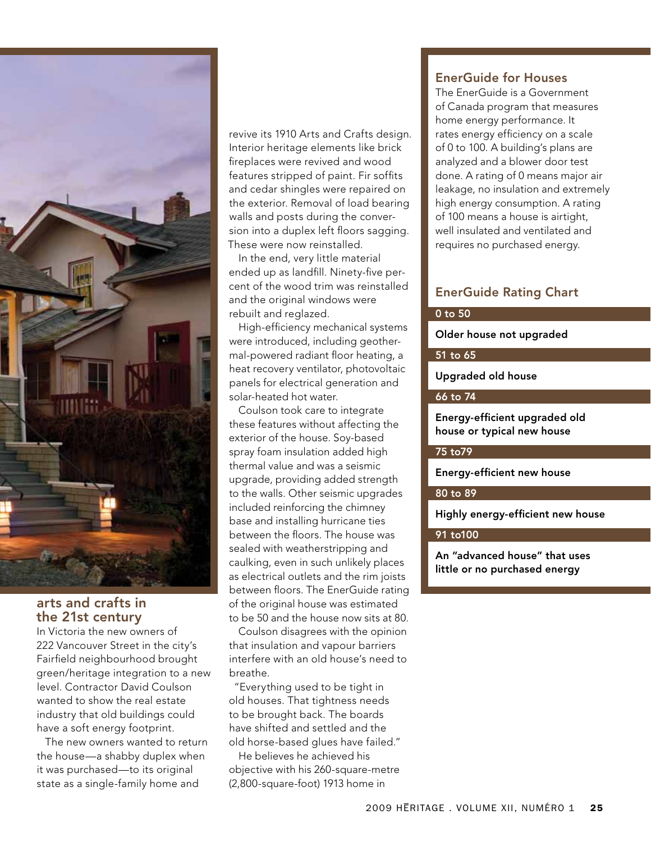

# arts and crafts in the 21st century

In Victoria the new owners of 222 Vancouver Street in the city's Fairfield neighbourhood brought green/heritage integration to a new level. Contractor David Coulson wanted to show the real estate industry that old buildings could have a soft energy footprint.

The new owners wanted to return the house—a shabby duplex when it was purchased—to its original state as a single-family home and

revive its 1910 Arts and Crafts design. Interior heritage elements like brick fireplaces were revived and wood features stripped of paint. Fir soffits and cedar shingles were repaired on the exterior. Removal of load bearing walls and posts during the conversion into a duplex left floors sagging. These were now reinstalled.

In the end, very little material ended up as landfill. Ninety-five percent of the wood trim was reinstalled and the original windows were rebuilt and reglazed.

High-efficiency mechanical systems were introduced, including geothermal-powered radiant floor heating, a heat recovery ventilator, photovoltaic panels for electrical generation and solar-heated hot water.

Coulson took care to integrate these features without affecting the exterior of the house. Soy-based spray foam insulation added high thermal value and was a seismic upgrade, providing added strength to the walls. Other seismic upgrades included reinforcing the chimney base and installing hurricane ties between the floors. The house was sealed with weatherstripping and caulking, even in such unlikely places as electrical outlets and the rim joists between floors. The EnerGuide rating of the original house was estimated to be 50 and the house now sits at 80.

Coulson disagrees with the opinion that insulation and vapour barriers interfere with an old house's need to breathe.

"Everything used to be tight in old houses. That tightness needs to be brought back. The boards have shifted and settled and the old horse-based glues have failed."

He believes he achieved his objective with his 260-square-metre (2,800-square-foot) 1913 home in

# EnerGuide for Houses

The EnerGuide is a Government of Canada program that measures home energy performance. It rates energy efficiency on a scale of 0 to 100. A building's plans are analyzed and a blower door test done. A rating of 0 means major air leakage, no insulation and extremely high energy consumption. A rating of 100 means a house is airtight, well insulated and ventilated and requires no purchased energy.

# EnerGuide Rating Chart

### 0 to 50

Older house not upgraded

# 51 to 65

Upgraded old house

### 66 to 74

Energy-efficient upgraded old house or typical new house

### 75 to79

Energy-efficient new house

# 80 to 89

Highly energy-efficient new house

# 91 to100

An "advanced house" that uses little or no purchased energy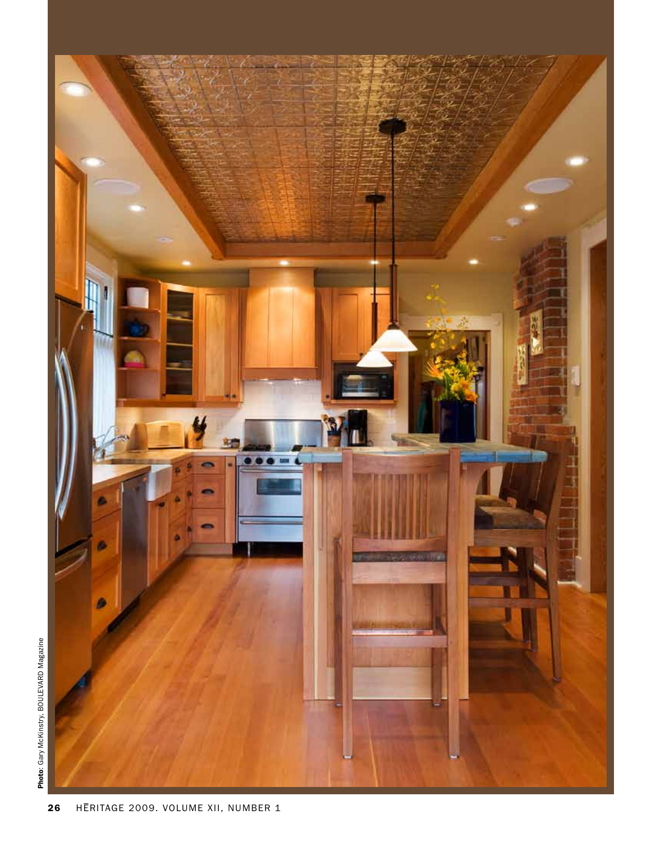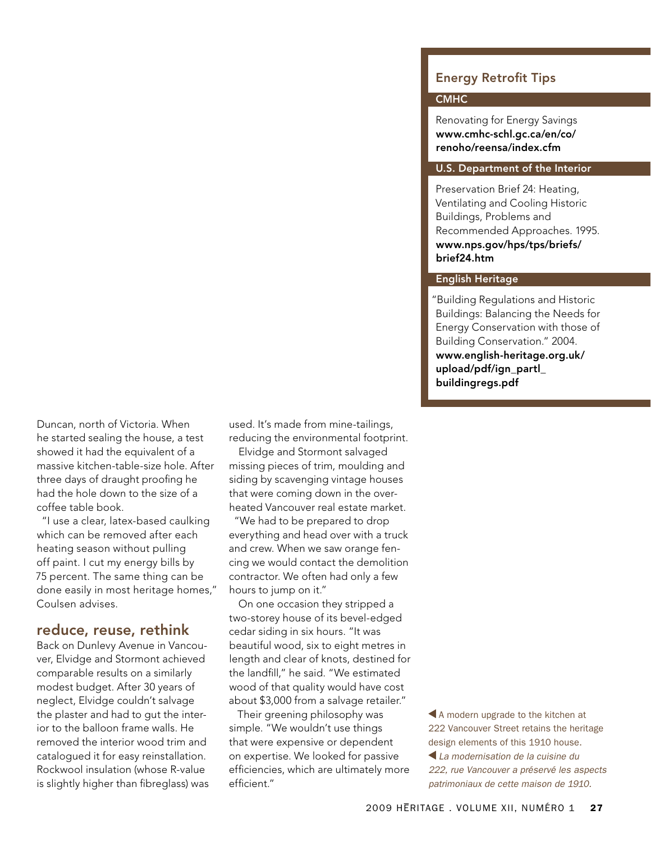# Energy Retrofit Tips

# **CMHC**

Renovating for Energy Savings www.cmhc-schl.gc.ca/en/co/ renoho/reensa/index.cfm

# U.S. Department of the Interior

Preservation Brief 24: Heating, Ventilating and Cooling Historic Buildings, Problems and Recommended Approaches. 1995. www.nps.gov/hps/tps/briefs/ brief24.htm

# English Heritage

"Building Regulations and Historic Buildings: Balancing the Needs for Energy Conservation with those of Building Conservation." 2004. www.english-heritage.org.uk/ upload/pdf/ign\_partl\_ buildingregs.pdf

Duncan, north of Victoria. When he started sealing the house, a test showed it had the equivalent of a massive kitchen-table-size hole. After three days of draught proofing he had the hole down to the size of a coffee table book.

"I use a clear, latex-based caulking which can be removed after each heating season without pulling off paint. I cut my energy bills by 75 percent. The same thing can be done easily in most heritage homes," Coulsen advises.

# reduce, reuse, rethink

Back on Dunlevy Avenue in Vancouver, Elvidge and Stormont achieved comparable results on a similarly modest budget. After 30 years of neglect, Elvidge couldn't salvage the plaster and had to gut the interior to the balloon frame walls. He removed the interior wood trim and catalogued it for easy reinstallation. Rockwool insulation (whose R-value is slightly higher than fibreglass) was used. It's made from mine-tailings, reducing the environmental footprint.

Elvidge and Stormont salvaged missing pieces of trim, moulding and siding by scavenging vintage houses that were coming down in the overheated Vancouver real estate market.

"We had to be prepared to drop everything and head over with a truck and crew. When we saw orange fencing we would contact the demolition contractor. We often had only a few hours to jump on it."

On one occasion they stripped a two-storey house of its bevel-edged cedar siding in six hours. "It was beautiful wood, six to eight metres in length and clear of knots, destined for the landfill," he said. "We estimated wood of that quality would have cost about \$3,000 from a salvage retailer."

Their greening philosophy was simple. "We wouldn't use things that were expensive or dependent on expertise. We looked for passive efficiencies, which are ultimately more efficient."

A modern upgrade to the kitchen at 222 Vancouver Street retains the heritage design elements of this 1910 house.  *La modernisation de la cuisine du 222, rue Vancouver a préservé les aspects patrimoniaux de cette maison de 1910.*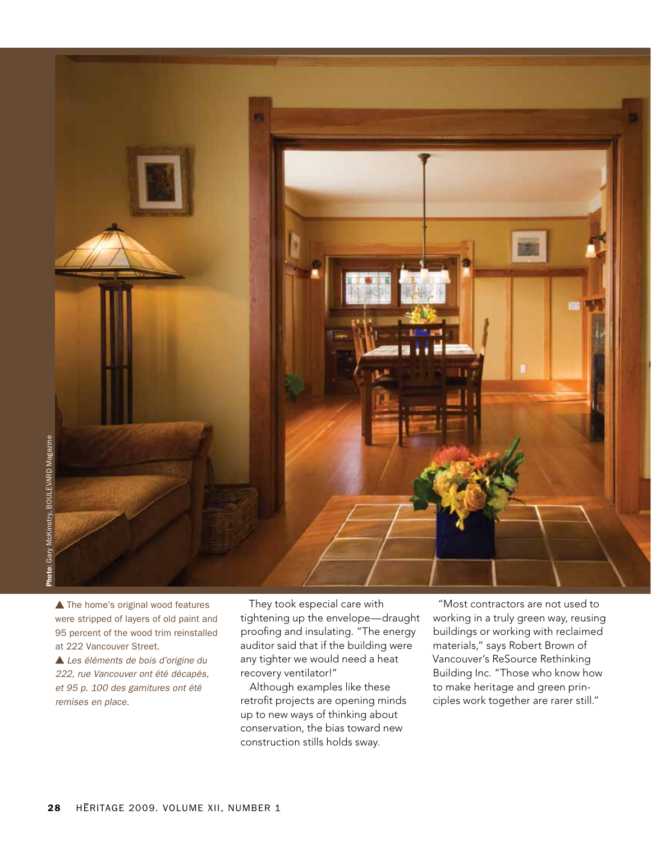

▲ The home's original wood features were stripped of layers of old paint and 95 percent of the wood trim reinstalled at 222 Vancouver Street.

 *Les éléments de bois d'origine du 222, rue Vancouver ont été décapés, et 95 p. 100 des garnitures ont été remises en place.*

They took especial care with tightening up the envelope—draught proofing and insulating. "The energy auditor said that if the building were any tighter we would need a heat recovery ventilator!"

Although examples like these retrofit projects are opening minds up to new ways of thinking about conservation, the bias toward new construction stills holds sway.

"Most contractors are not used to working in a truly green way, reusing buildings or working with reclaimed materials," says Robert Brown of Vancouver's ReSource Rethinking Building Inc. "Those who know how to make heritage and green principles work together are rarer still."